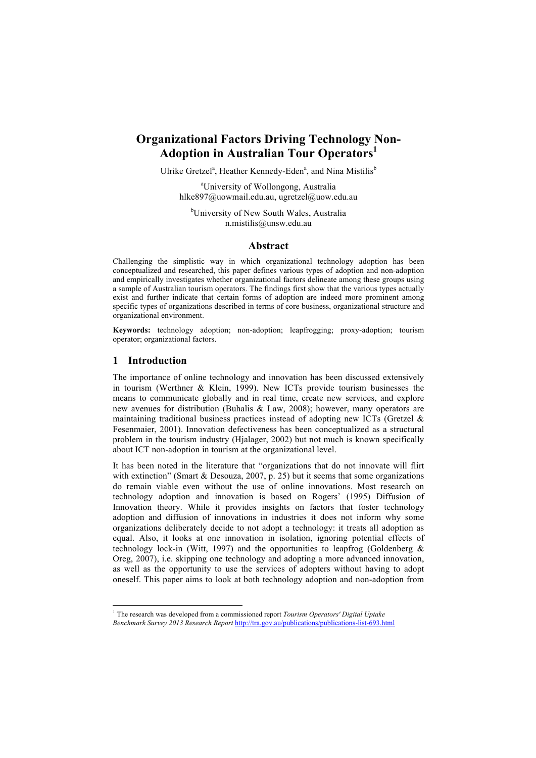# **Organizational Factors Driving Technology Non-Adoption in Australian Tour Operators1**

Ulrike Gretzel<sup>a</sup>, Heather Kennedy-Eden<sup>a</sup>, and Nina Mistilis<sup>b</sup>

a University of Wollongong, Australia hlke897@uowmail.edu.au, ugretzel@uow.edu.au

<sup>b</sup>University of New South Wales, Australia n.mistilis@unsw.edu.au

#### **Abstract**

Challenging the simplistic way in which organizational technology adoption has been conceptualized and researched, this paper defines various types of adoption and non-adoption and empirically investigates whether organizational factors delineate among these groups using a sample of Australian tourism operators. The findings first show that the various types actually exist and further indicate that certain forms of adoption are indeed more prominent among specific types of organizations described in terms of core business, organizational structure and organizational environment.

**Keywords:** technology adoption; non-adoption; leapfrogging; proxy-adoption; tourism operator; organizational factors.

#### **1 Introduction**

The importance of online technology and innovation has been discussed extensively in tourism (Werthner & Klein, 1999). New ICTs provide tourism businesses the means to communicate globally and in real time, create new services, and explore new avenues for distribution (Buhalis & Law, 2008); however, many operators are maintaining traditional business practices instead of adopting new ICTs (Gretzel & Fesenmaier, 2001). Innovation defectiveness has been conceptualized as a structural problem in the tourism industry (Hjalager, 2002) but not much is known specifically about ICT non-adoption in tourism at the organizational level.

It has been noted in the literature that "organizations that do not innovate will flirt with extinction" (Smart & Desouza, 2007, p. 25) but it seems that some organizations do remain viable even without the use of online innovations. Most research on technology adoption and innovation is based on Rogers' (1995) Diffusion of Innovation theory. While it provides insights on factors that foster technology adoption and diffusion of innovations in industries it does not inform why some organizations deliberately decide to not adopt a technology: it treats all adoption as equal. Also, it looks at one innovation in isolation, ignoring potential effects of technology lock-in (Witt, 1997) and the opportunities to leapfrog (Goldenberg  $\&$ Oreg, 2007), i.e. skipping one technology and adopting a more advanced innovation, as well as the opportunity to use the services of adopters without having to adopt oneself. This paper aims to look at both technology adoption and non-adoption from

 <sup>1</sup> The research was developed from a commissioned report *Tourism Operators' Digital Uptake Benchmark Survey 2013 Research Report* http://tra.gov.au/publications/publications-list-693.html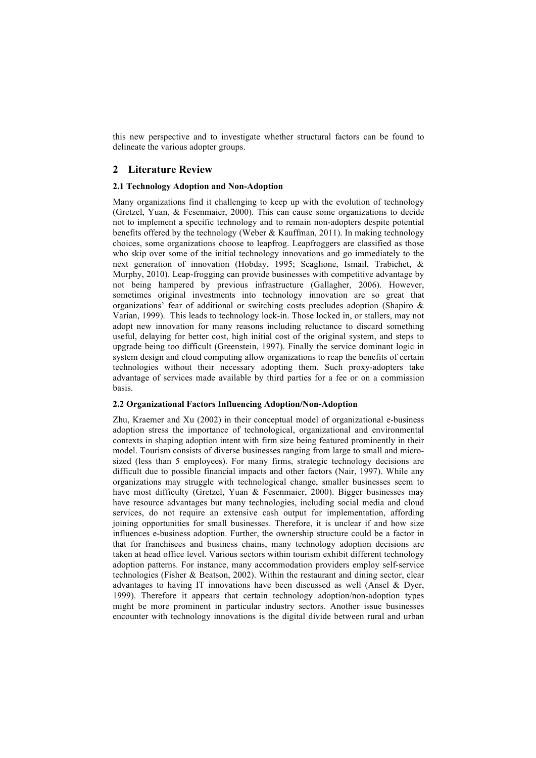this new perspective and to investigate whether structural factors can be found to delineate the various adopter groups.

### **2 Literature Review**

#### **2.1 Technology Adoption and Non-Adoption**

Many organizations find it challenging to keep up with the evolution of technology (Gretzel, Yuan, & Fesenmaier, 2000). This can cause some organizations to decide not to implement a specific technology and to remain non-adopters despite potential benefits offered by the technology (Weber & Kauffman, 2011). In making technology choices, some organizations choose to leapfrog. Leapfroggers are classified as those who skip over some of the initial technology innovations and go immediately to the next generation of innovation (Hobday, 1995; Scaglione, Ismail, Trabichet, & Murphy, 2010). Leap-frogging can provide businesses with competitive advantage by not being hampered by previous infrastructure (Gallagher, 2006). However, sometimes original investments into technology innovation are so great that organizations' fear of additional or switching costs precludes adoption (Shapiro & Varian, 1999). This leads to technology lock-in. Those locked in, or stallers, may not adopt new innovation for many reasons including reluctance to discard something useful, delaying for better cost, high initial cost of the original system, and steps to upgrade being too difficult (Greenstein, 1997). Finally the service dominant logic in system design and cloud computing allow organizations to reap the benefits of certain technologies without their necessary adopting them. Such proxy-adopters take advantage of services made available by third parties for a fee or on a commission basis.

#### **2.2 Organizational Factors Influencing Adoption/Non-Adoption**

Zhu, Kraemer and Xu (2002) in their conceptual model of organizational e-business adoption stress the importance of technological, organizational and environmental contexts in shaping adoption intent with firm size being featured prominently in their model. Tourism consists of diverse businesses ranging from large to small and microsized (less than 5 employees). For many firms, strategic technology decisions are difficult due to possible financial impacts and other factors (Nair, 1997). While any organizations may struggle with technological change, smaller businesses seem to have most difficulty (Gretzel, Yuan & Fesenmaier, 2000). Bigger businesses may have resource advantages but many technologies, including social media and cloud services, do not require an extensive cash output for implementation, affording joining opportunities for small businesses. Therefore, it is unclear if and how size influences e-business adoption. Further, the ownership structure could be a factor in that for franchisees and business chains, many technology adoption decisions are taken at head office level. Various sectors within tourism exhibit different technology adoption patterns. For instance, many accommodation providers employ self-service technologies (Fisher & Beatson, 2002). Within the restaurant and dining sector, clear advantages to having IT innovations have been discussed as well (Ansel & Dyer, 1999). Therefore it appears that certain technology adoption/non-adoption types might be more prominent in particular industry sectors. Another issue businesses encounter with technology innovations is the digital divide between rural and urban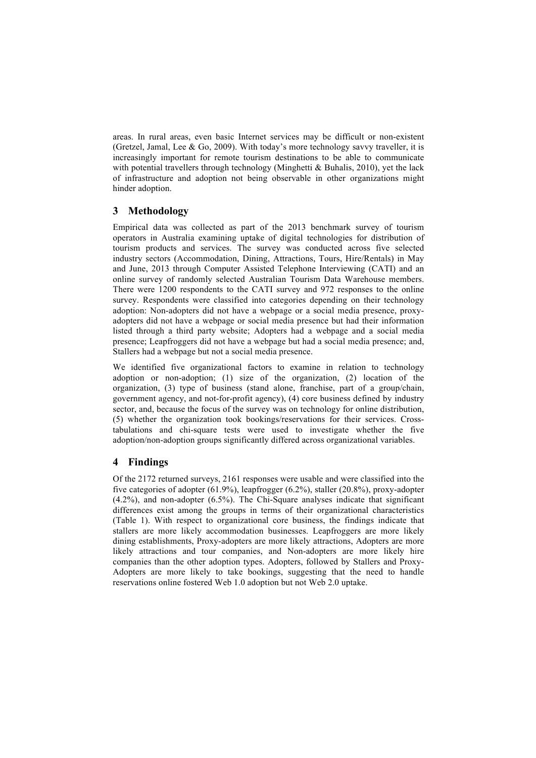areas. In rural areas, even basic Internet services may be difficult or non-existent (Gretzel, Jamal, Lee & Go, 2009). With today's more technology savvy traveller, it is increasingly important for remote tourism destinations to be able to communicate with potential travellers through technology (Minghetti & Buhalis, 2010), yet the lack of infrastructure and adoption not being observable in other organizations might hinder adoption.

## **3 Methodology**

Empirical data was collected as part of the 2013 benchmark survey of tourism operators in Australia examining uptake of digital technologies for distribution of tourism products and services. The survey was conducted across five selected industry sectors (Accommodation, Dining, Attractions, Tours, Hire/Rentals) in May and June, 2013 through Computer Assisted Telephone Interviewing (CATI) and an online survey of randomly selected Australian Tourism Data Warehouse members. There were 1200 respondents to the CATI survey and 972 responses to the online survey. Respondents were classified into categories depending on their technology adoption: Non-adopters did not have a webpage or a social media presence, proxyadopters did not have a webpage or social media presence but had their information listed through a third party website; Adopters had a webpage and a social media presence; Leapfroggers did not have a webpage but had a social media presence; and, Stallers had a webpage but not a social media presence.

We identified five organizational factors to examine in relation to technology adoption or non-adoption; (1) size of the organization, (2) location of the organization, (3) type of business (stand alone, franchise, part of a group/chain, government agency, and not-for-profit agency), (4) core business defined by industry sector, and, because the focus of the survey was on technology for online distribution, (5) whether the organization took bookings/reservations for their services. Crosstabulations and chi-square tests were used to investigate whether the five adoption/non-adoption groups significantly differed across organizational variables.

## **4 Findings**

Of the 2172 returned surveys, 2161 responses were usable and were classified into the five categories of adopter (61.9%), leapfrogger (6.2%), staller (20.8%), proxy-adopter (4.2%), and non-adopter (6.5%). The Chi-Square analyses indicate that significant differences exist among the groups in terms of their organizational characteristics (Table 1). With respect to organizational core business, the findings indicate that stallers are more likely accommodation businesses. Leapfroggers are more likely dining establishments, Proxy-adopters are more likely attractions, Adopters are more likely attractions and tour companies, and Non-adopters are more likely hire companies than the other adoption types. Adopters, followed by Stallers and Proxy-Adopters are more likely to take bookings, suggesting that the need to handle reservations online fostered Web 1.0 adoption but not Web 2.0 uptake.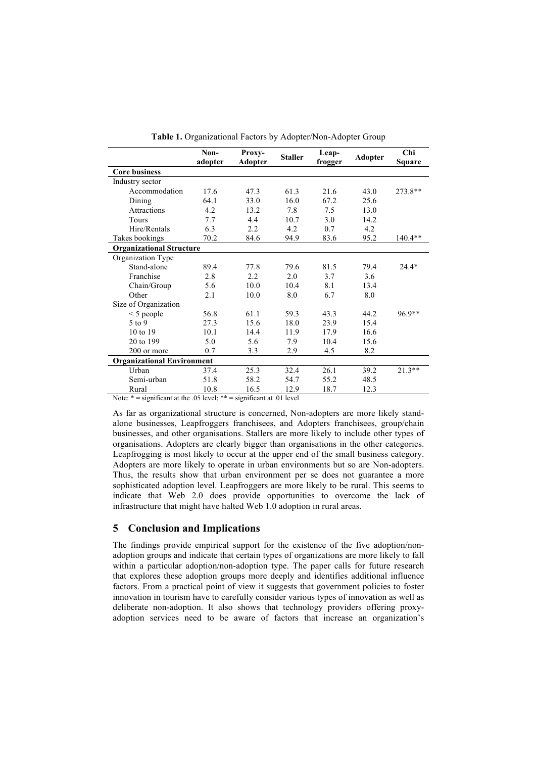|                                   | Non-<br>adopter | Proxy-<br><b>Adopter</b> | <b>Staller</b> | Leap-<br>frogger | <b>Adopter</b> | Chi<br>Square |
|-----------------------------------|-----------------|--------------------------|----------------|------------------|----------------|---------------|
| <b>Core business</b>              |                 |                          |                |                  |                |               |
| Industry sector                   |                 |                          |                |                  |                |               |
| Accommodation                     | 17.6            | 47.3                     | 61.3           | 21.6             | 43.0           | 273.8**       |
| Dining                            | 64.1            | 33.0                     | 16.0           | 67.2             | 25.6           |               |
| <b>Attractions</b>                | 4.2             | 13.2                     | 7.8            | 7.5              | 13.0           |               |
| <b>Tours</b>                      | 7.7             | 4.4                      | 10.7           | 3.0              | 14.2           |               |
| Hire/Rentals                      | 6.3             | 2.2                      | 4.2            | 0.7              | 4.2            |               |
| Takes bookings                    | 70.2            | 84.6                     | 94.9           | 83.6             | 95.2           | 140.4**       |
| <b>Organizational Structure</b>   |                 |                          |                |                  |                |               |
| Organization Type                 |                 |                          |                |                  |                |               |
| Stand-alone                       | 89.4            | 77.8                     | 79.6           | 81.5             | 79.4           | $24.4*$       |
| Franchise                         | 2.8             | 2.2                      | 2.0            | 3.7              | 3.6            |               |
| Chain/Group                       | 5.6             | 10.0                     | 10.4           | 8.1              | 13.4           |               |
| Other                             | 2.1             | 10.0                     | 8.0            | 6.7              | 8.0            |               |
| Size of Organization              |                 |                          |                |                  |                |               |
| $\leq$ 5 people                   | 56.8            | 61.1                     | 59.3           | 43.3             | 44.2           | 96.9**        |
| $5$ to 9                          | 27.3            | 15.6                     | 18.0           | 23.9             | 15.4           |               |
| 10 to 19                          | 10.1            | 14.4                     | 11.9           | 17.9             | 16.6           |               |
| 20 to 199                         | 5.0             | 5.6                      | 7.9            | 10.4             | 15.6           |               |
| 200 or more                       | 0.7             | 3.3                      | 2.9            | 4.5              | 8.2            |               |
| <b>Organizational Environment</b> |                 |                          |                |                  |                |               |
| Urban                             | 37.4            | 25.3                     | 32.4           | 26.1             | 39.2           | $21.3**$      |
| Semi-urban                        | 51.8            | 58.2                     | 54.7           | 55.2             | 48.5           |               |
| Rural                             | 10.8            | 16.5                     | 12.9           | 18.7             | 12.3           |               |

**Table 1.** Organizational Factors by Adopter/Non-Adopter Group

Note: \* = significant at the .05 level; \*\* = significant at .01 level

As far as organizational structure is concerned, Non-adopters are more likely standalone businesses, Leapfroggers franchisees, and Adopters franchisees, group/chain businesses, and other organisations. Stallers are more likely to include other types of organisations. Adopters are clearly bigger than organisations in the other categories. Leapfrogging is most likely to occur at the upper end of the small business category. Adopters are more likely to operate in urban environments but so are Non-adopters. Thus, the results show that urban environment per se does not guarantee a more sophisticated adoption level. Leapfroggers are more likely to be rural. This seems to indicate that Web 2.0 does provide opportunities to overcome the lack of infrastructure that might have halted Web 1.0 adoption in rural areas.

#### **5 Conclusion and Implications**

The findings provide empirical support for the existence of the five adoption/nonadoption groups and indicate that certain types of organizations are more likely to fall within a particular adoption/non-adoption type. The paper calls for future research that explores these adoption groups more deeply and identifies additional influence factors. From a practical point of view it suggests that government policies to foster innovation in tourism have to carefully consider various types of innovation as well as deliberate non-adoption. It also shows that technology providers offering proxyadoption services need to be aware of factors that increase an organization's